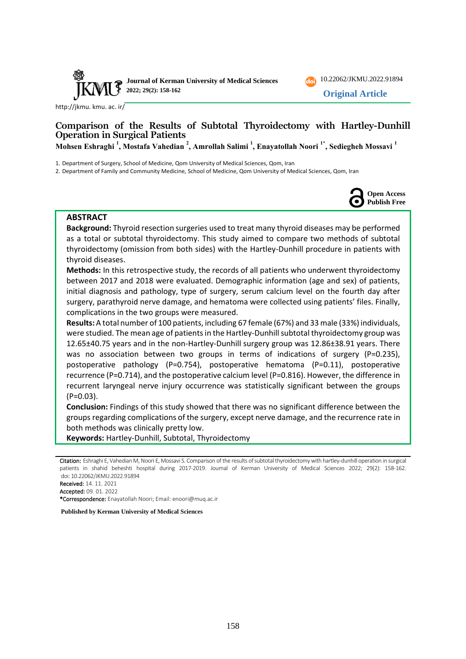



[http://jkmu. kmu. ac. ir/](http://jkmu.kmu.ac.ir/)

# **Comparison of the Results of Subtotal Thyroidectomy with Hartley-Dunhill Operation in Surgical Patients**

**Mohsen Eshraghi <sup>1</sup> , Mostafa Vahedian <sup>2</sup> , Amrollah Salimi <sup>1</sup> , Enayatollah Noori 1\* , Sediegheh Mossavi <sup>1</sup>**

1. Department of Surgery, School of Medicine, Qom University of Medical Sciences, Qom, Iran

2. Department of Family and Community Medicine, School of Medicine, Qom University of Medical Sciences, Qom, Iran



#### **ABSTRACT**

**Background:** Thyroid resection surgeries used to treat many thyroid diseases may be performed as a total or subtotal thyroidectomy. This study aimed to compare two methods of subtotal thyroidectomy (omission from both sides) with the Hartley-Dunhill procedure in patients with thyroid diseases.

**Methods:** In this retrospective study, the records of all patients who underwent thyroidectomy between 2017 and 2018 were evaluated. Demographic information (age and sex) of patients, initial diagnosis and pathology, type of surgery, serum calcium level on the fourth day after surgery, parathyroid nerve damage, and hematoma were collected using patients' files. Finally, complications in the two groups were measured.

**Results:** A total number of 100 patients, including 67 female (67%) and 33 male (33%) individuals, were studied. The mean age of patients in the Hartley-Dunhill subtotal thyroidectomy group was 12.65±40.75 years and in the non-Hartley-Dunhill surgery group was 12.86±38.91 years. There was no association between two groups in terms of indications of surgery (P=0.235), postoperative pathology (P=0.754), postoperative hematoma (P=0.11), postoperative recurrence (P=0.714), and the postoperative calcium level (P=0.816). However, the difference in recurrent laryngeal nerve injury occurrence was statistically significant between the groups (P=0.03).

**Conclusion:** Findings of this study showed that there was no significant difference between the groups regarding complications of the surgery, except nerve damage, and the recurrence rate in both methods was clinically pretty low.

**Keywords:** Hartley-Dunhill, Subtotal, Thyroidectomy

Accepted: 09. 01. 2022

\*Correspondence: Enayatollah Noori; Email: enoori@muq.ac.ir

**Published by Kerman University of Medical Sciences**

Citation: Eshraghi E, Vahedian M, Noori E, Mossavi S. Comparison of the results of subtotal thyroidectomy with hartley-dunhill operation in surgical patients in shahid beheshti hospital during 2017-2019. Journal of Kerman University of Medical Sciences 2022; 29(2): 158-162. doi: [10.22062/JKMU.2022.91894](https://dx.doi.org/10.22062/jkmu.2022.91894)

Received: 14. 11. 2021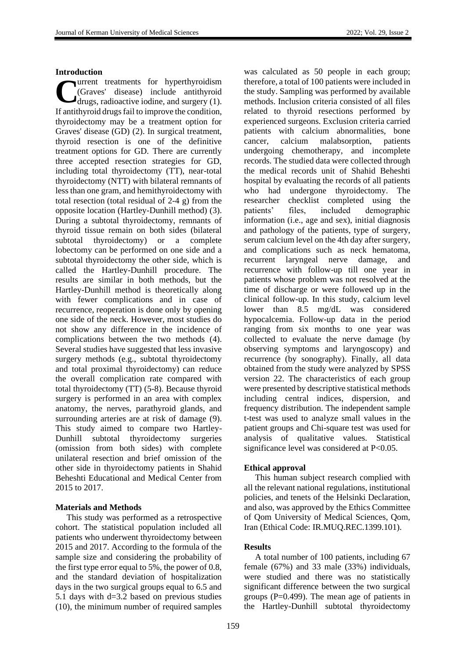### **Introduction**

urrent treatments for hyperthyroidism (Graves' disease) include antithyroid drugs, radioactive iodine, and surgery (1). If antithyroid drugs fail to improve the condition, thyroidectomy may be a treatment option for Graves' disease (GD) (2). In surgical treatment, thyroid resection is one of the definitive treatment options for GD. There are currently three accepted resection strategies for GD, including total thyroidectomy (TT), near-total thyroidectomy (NTT) with bilateral remnants of less than one gram, and hemithyroidectomy with total resection (total residual of 2-4 g) from the opposite location (Hartley-Dunhill method) (3). During a subtotal thyroidectomy, remnants of thyroid tissue remain on both sides (bilateral subtotal thyroidectomy) or a complete lobectomy can be performed on one side and a subtotal thyroidectomy the other side, which is called the Hartley-Dunhill procedure. The results are similar in both methods, but the Hartley-Dunhill method is theoretically along with fewer complications and in case of recurrence, reoperation is done only by opening one side of the neck. However, most studies do not show any difference in the incidence of complications between the two methods (4). Several studies have suggested that less invasive surgery methods (e.g., subtotal thyroidectomy and total proximal thyroidectomy) can reduce the overall complication rate compared with total thyroidectomy (TT) (5-8). Because thyroid surgery is performed in an area with complex anatomy, the nerves, parathyroid glands, and surrounding arteries are at risk of damage (9). This study aimed to compare two Hartley-Dunhill subtotal thyroidectomy surgeries (omission from both sides) with complete unilateral resection and brief omission of the other side in thyroidectomy patients in Shahid Beheshti Educational and Medical Center from 2015 to 2017. **C**

### **Materials and Methods**

This study was performed as a retrospective cohort. The statistical population included all patients who underwent thyroidectomy between 2015 and 2017. According to the formula of the sample size and considering the probability of the first type error equal to 5%, the power of 0.8, and the standard deviation of hospitalization days in the two surgical groups equal to 6.5 and 5.1 days with d=3.2 based on previous studies (10), the minimum number of required samples was calculated as 50 people in each group; therefore, a total of 100 patients were included in the study. Sampling was performed by available methods. Inclusion criteria consisted of all files related to thyroid resections performed by experienced surgeons. Exclusion criteria carried patients with calcium abnormalities, bone cancer, calcium malabsorption, patients undergoing chemotherapy, and incomplete records. The studied data were collected through the medical records unit of Shahid Beheshti hospital by evaluating the records of all patients who had undergone thyroidectomy. The researcher checklist completed using the patients' files, included demographic information (i.e., age and sex), initial diagnosis and pathology of the patients, type of surgery, serum calcium level on the 4th day after surgery, and complications such as neck hematoma, recurrent laryngeal nerve damage, and recurrence with follow-up till one year in patients whose problem was not resolved at the time of discharge or were followed up in the clinical follow-up. In this study, calcium level lower than 8.5 mg/dL was considered hypocalcemia. Follow-up data in the period ranging from six months to one year was collected to evaluate the nerve damage (by observing symptoms and laryngoscopy) and recurrence (by sonography). Finally, all data obtained from the study were analyzed by SPSS version 22. The characteristics of each group were presented by descriptive statistical methods including central indices, dispersion, and frequency distribution. The independent sample t-test was used to analyze small values in the patient groups and Chi-square test was used for analysis of qualitative values. Statistical significance level was considered at P<0.05.

### **Ethical approval**

This human subject research complied with all the relevant national regulations, institutional policies, and tenets of the Helsinki Declaration, and also, was approved by the Ethics Committee of Qom University of Medical Sciences, Qom, Iran (Ethical Code: IR.MUQ.REC.1399.101).

### **Results**

A total number of 100 patients, including 67 female (67%) and 33 male (33%) individuals, were studied and there was no statistically significant difference between the two surgical groups (P=0.499). The mean age of patients in the Hartley-Dunhill subtotal thyroidectomy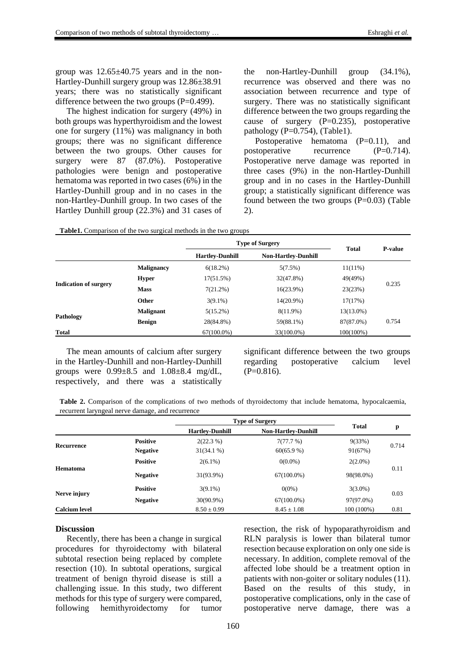group was 12.65±40.75 years and in the non-Hartley-Dunhill surgery group was 12.86±38.91 years; there was no statistically significant difference between the two groups  $(P=0.499)$ .

The highest indication for surgery (49%) in both groups was hyperthyroidism and the lowest one for surgery (11%) was malignancy in both groups; there was no significant difference between the two groups. Other causes for surgery were 87 (87.0%). Postoperative pathologies were benign and postoperative hematoma was reported in two cases (6%) in the Hartley-Dunhill group and in no cases in the non-Hartley-Dunhill group. In two cases of the Hartley Dunhill group (22.3%) and 31 cases of the non-Hartley-Dunhill group (34.1%), recurrence was observed and there was no association between recurrence and type of surgery. There was no statistically significant difference between the two groups regarding the cause of surgery  $(P=0.235)$ , postoperative pathology  $(P=0.754)$ , (Table1).

Postoperative hematoma (P=0.11), and postoperative recurrence  $(P=0.714)$ . Postoperative nerve damage was reported in three cases (9%) in the non-Hartley-Dunhill group and in no cases in the Hartley-Dunhill group; a statistically significant difference was found between the two groups  $(P=0.03)$  (Table 2).

| Table1. Comparison of the two surgical methods in the two groups |  |
|------------------------------------------------------------------|--|
|------------------------------------------------------------------|--|

|                              |                   | <b>Type of Surgery</b> |                            | <b>Total</b> | <b>P-value</b> |
|------------------------------|-------------------|------------------------|----------------------------|--------------|----------------|
|                              |                   | <b>Hartley-Dunhill</b> | <b>Non-Hartley-Dunhill</b> |              |                |
| <b>Indication of surgery</b> | <b>Malignancy</b> | 6(18.2%)               | 5(7.5%)                    | $11(11\%)$   | 0.235          |
|                              | <b>Hyper</b>      | 17(51.5%)              | 32(47.8%)                  | 49(49%)      |                |
|                              | <b>Mass</b>       | 7(21.2%)               | 16(23.9%)                  | 23(23%)      |                |
|                              | Other             | $3(9.1\%)$             | 14(20.9%)                  | 17(17%)      |                |
| Pathology                    | <b>Malignant</b>  | 5(15.2%)               | $8(11.9\%)$                | 13(13.0%)    | 0.754          |
|                              | <b>Benign</b>     | 28(84.8%)              | 59(88.1%)                  | 87(87.0%)    |                |
| <b>Total</b>                 |                   | $67(100.0\%)$          | 33(100.0%)                 | $100(100\%)$ |                |

The mean amounts of calcium after surgery in the Hartley-Dunhill and non-Hartley-Dunhill groups were  $0.99\pm8.5$  and  $1.08\pm8.4$  mg/dL, respectively, and there was a statistically significant difference between the two groups regarding postoperative calcium level  $(P=0.816)$ .

**Table 2.** Comparison of the complications of two methods of thyroidectomy that include hematoma, hypocalcaemia, recurrent laryngeal nerve damage, and recurrence

|                      |                 | <b>Type of Surgery</b> |                            |              |       |
|----------------------|-----------------|------------------------|----------------------------|--------------|-------|
|                      |                 | <b>Hartley-Dunhill</b> | <b>Non-Hartley-Dunhill</b> | <b>Total</b> | p     |
| Recurrence           | <b>Positive</b> | $2(22.3\%)$            | 7(77.7%)                   | 9(33%)       | 0.714 |
|                      | <b>Negative</b> | 31(34.1%)              | $60(65.9\%)$               | 91(67%)      |       |
| <b>Hematoma</b>      | <b>Positive</b> | $2(6.1\%)$             | $0(0.0\%)$                 | $2(2.0\%)$   | 0.11  |
|                      | <b>Negative</b> | 31(93.9%)              | $67(100.0\%)$              | 98(98.0%)    |       |
| Nerve injury         | <b>Positive</b> | $3(9.1\%)$             | $0(0\%)$                   | $3(3.0\%)$   | 0.03  |
|                      | <b>Negative</b> | 30(90.9%)              | $67(100.0\%)$              | 97(97.0%)    |       |
| <b>Calcium level</b> |                 | $8.50 \pm 0.99$        | $8.45 \pm 1.08$            | 100 (100%)   | 0.81  |

#### **Discussion**

Recently, there has been a change in surgical procedures for thyroidectomy with bilateral subtotal resection being replaced by complete resection (10). In subtotal operations, surgical treatment of benign thyroid disease is still a challenging issue. In this study, two different methods for this type of surgery were compared, following hemithyroidectomy for tumor resection, the risk of hypoparathyroidism and RLN paralysis is lower than bilateral tumor resection because exploration on only one side is necessary. In addition, complete removal of the affected lobe should be a treatment option in patients with non-goiter or solitary nodules (11). Based on the results of this study, in postoperative complications, only in the case of postoperative nerve damage, there was a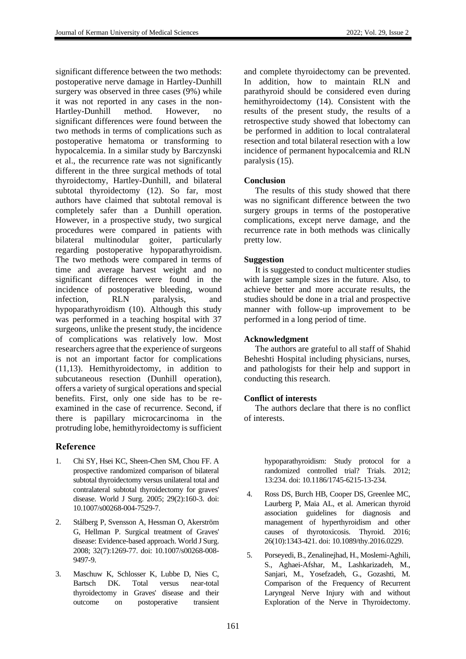significant difference between the two methods: postoperative nerve damage in Hartley-Dunhill surgery was observed in three cases (9%) while it was not reported in any cases in the non-Hartley-Dunhill method. However, no significant differences were found between the two methods in terms of complications such as postoperative hematoma or transforming to hypocalcemia. In a similar study by Barczynski et al., the recurrence rate was not significantly different in the three surgical methods of total thyroidectomy, Hartley-Dunhill, and bilateral subtotal thyroidectomy (12). So far, most authors have claimed that subtotal removal is completely safer than a Dunhill operation. However, in a prospective study, two surgical procedures were compared in patients with bilateral multinodular goiter, particularly regarding postoperative hypoparathyroidism. The two methods were compared in terms of time and average harvest weight and no significant differences were found in the incidence of postoperative bleeding, wound infection, RLN paralysis, and hypoparathyroidism (10). Although this study was performed in a teaching hospital with 37 surgeons, unlike the present study, the incidence of complications was relatively low. Most researchers agree that the experience of surgeons is not an important factor for complications (11,13). Hemithyroidectomy, in addition to subcutaneous resection (Dunhill operation), offers a variety of surgical operations and special benefits. First, only one side has to be reexamined in the case of recurrence. Second, if there is papillary microcarcinoma in the protruding lobe, hemithyroidectomy is sufficient

# **Reference**

- 1. Chi SY, Hsei KC, Sheen-Chen SM, Chou FF. A prospective randomized comparison of bilateral subtotal thyroidectomy versus unilateral total and contralateral subtotal thyroidectomy for graves' disease. World J Surg. 2005; 29(2):160-3. doi: 10.1007/s00268-004-7529-7.
- 2. Stålberg P, Svensson A, Hessman O, Akerström G, Hellman P. Surgical treatment of Graves' disease: Evidence-based approach. World J Surg. 2008; 32(7):1269-77. doi: 10.1007/s00268-008- 9497-9.
- 3. Maschuw K, Schlosser K, Lubbe D, Nies C, Bartsch DK. Total versus near-total thyroidectomy in Graves' disease and their outcome on postoperative transient

and complete thyroidectomy can be prevented. In addition, how to maintain RLN and parathyroid should be considered even during hemithyroidectomy (14). Consistent with the results of the present study, the results of a retrospective study showed that lobectomy can be performed in addition to local contralateral resection and total bilateral resection with a low incidence of permanent hypocalcemia and RLN paralysis (15).

## **Conclusion**

The results of this study showed that there was no significant difference between the two surgery groups in terms of the postoperative complications, except nerve damage, and the recurrence rate in both methods was clinically pretty low.

## **Suggestion**

It is suggested to conduct multicenter studies with larger sample sizes in the future. Also, to achieve better and more accurate results, the studies should be done in a trial and prospective manner with follow-up improvement to be performed in a long period of time.

## **Acknowledgment**

The authors are grateful to all staff of Shahid Beheshti Hospital including physicians, nurses, and pathologists for their help and support in conducting this research.

## **Conflict of interests**

The authors declare that there is no conflict of interests.

> hypoparathyroidism: Study protocol for a randomized controlled trial? Trials. 2012; 13:234. doi: 10.1186/1745-6215-13-234.

- 4. Ross DS, Burch HB, Cooper DS, Greenlee MC, Laurberg P, Maia AL, et al. American thyroid association guidelines for diagnosis and management of hyperthyroidism and other causes of thyrotoxicosis. Thyroid. 2016; 26(10):1343-421. doi: 10.1089/thy.2016.0229.
- 5. Porseyedi, B., Zenalinejhad, H., Moslemi-Aghili, S., Aghaei-Afshar, M., Lashkarizadeh, M., Sanjari, M., Yosefzadeh, G., Gozashti, M. Comparison of the Frequency of Recurrent Laryngeal Nerve Injury with and without Exploration of the Nerve in Thyroidectomy.